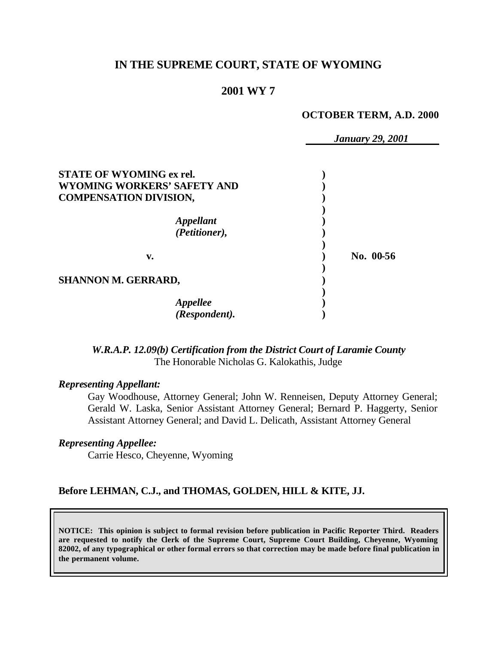# **IN THE SUPREME COURT, STATE OF WYOMING**

# **2001 WY 7**

#### **OCTOBER TERM, A.D. 2000**

|                                                                                                        | <b>January 29, 2001</b> |
|--------------------------------------------------------------------------------------------------------|-------------------------|
| <b>STATE OF WYOMING ex rel.</b><br><b>WYOMING WORKERS' SAFETY AND</b><br><b>COMPENSATION DIVISION,</b> |                         |
| <i><b>Appellant</b></i><br>(Petitioner),                                                               |                         |
| v.                                                                                                     | No. 00-56               |
| SHANNON M. GERRARD,                                                                                    |                         |
| Appellee<br>(Respondent).                                                                              |                         |

*W.R.A.P. 12.09(b) Certification from the District Court of Laramie County* The Honorable Nicholas G. Kalokathis, Judge

## *Representing Appellant:*

Gay Woodhouse, Attorney General; John W. Renneisen, Deputy Attorney General; Gerald W. Laska, Senior Assistant Attorney General; Bernard P. Haggerty, Senior Assistant Attorney General; and David L. Delicath, Assistant Attorney General

## *Representing Appellee:*

Carrie Hesco, Cheyenne, Wyoming

### **Before LEHMAN, C.J., and THOMAS, GOLDEN, HILL & KITE, JJ.**

**NOTICE: This opinion is subject to formal revision before publication in Pacific Reporter Third. Readers are requested to notify the Clerk of the Supreme Court, Supreme Court Building, Cheyenne, Wyoming 82002, of any typographical or other formal errors so that correction may be made before final publication in the permanent volume.**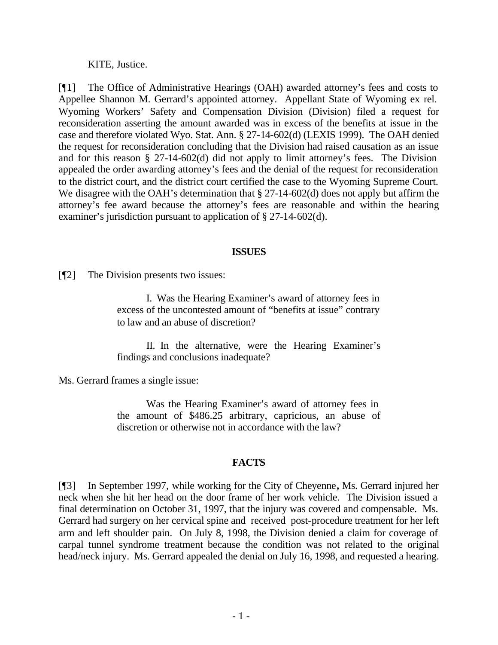KITE, Justice.

[¶1] The Office of Administrative Hearings (OAH) awarded attorney's fees and costs to Appellee Shannon M. Gerrard's appointed attorney. Appellant State of Wyoming ex rel. Wyoming Workers' Safety and Compensation Division (Division) filed a request for reconsideration asserting the amount awarded was in excess of the benefits at issue in the case and therefore violated Wyo. Stat. Ann. § 27-14-602(d) (LEXIS 1999). The OAH denied the request for reconsideration concluding that the Division had raised causation as an issue and for this reason § 27-14-602(d) did not apply to limit attorney's fees. The Division appealed the order awarding attorney's fees and the denial of the request for reconsideration to the district court, and the district court certified the case to the Wyoming Supreme Court. We disagree with the OAH's determination that § 27-14-602(d) does not apply but affirm the attorney's fee award because the attorney's fees are reasonable and within the hearing examiner's jurisdiction pursuant to application of § 27-14-602(d).

### **ISSUES**

[¶2] The Division presents two issues:

I. Was the Hearing Examiner's award of attorney fees in excess of the uncontested amount of "benefits at issue" contrary to law and an abuse of discretion?

II. In the alternative, were the Hearing Examiner's findings and conclusions inadequate?

Ms. Gerrard frames a single issue:

Was the Hearing Examiner's award of attorney fees in the amount of \$486.25 arbitrary, capricious, an abuse of discretion or otherwise not in accordance with the law?

# **FACTS**

[¶3] In September 1997, while working for the City of Cheyenne**,** Ms. Gerrard injured her neck when she hit her head on the door frame of her work vehicle. The Division issued a final determination on October 31, 1997, that the injury was covered and compensable. Ms. Gerrard had surgery on her cervical spine and received post-procedure treatment for her left arm and left shoulder pain. On July 8, 1998, the Division denied a claim for coverage of carpal tunnel syndrome treatment because the condition was not related to the original head/neck injury. Ms. Gerrard appealed the denial on July 16, 1998, and requested a hearing.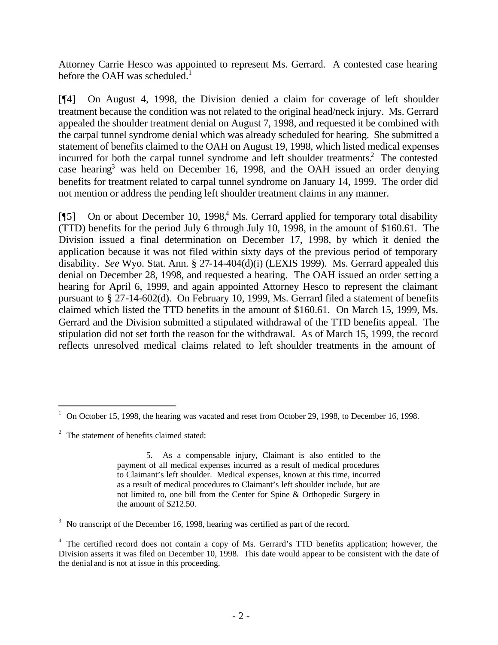Attorney Carrie Hesco was appointed to represent Ms. Gerrard. A contested case hearing before the OAH was scheduled. $<sup>1</sup>$ </sup>

[¶4] On August 4, 1998, the Division denied a claim for coverage of left shoulder treatment because the condition was not related to the original head/neck injury. Ms. Gerrard appealed the shoulder treatment denial on August 7, 1998, and requested it be combined with the carpal tunnel syndrome denial which was already scheduled for hearing. She submitted a statement of benefits claimed to the OAH on August 19, 1998, which listed medical expenses incurred for both the carpal tunnel syndrome and left shoulder treatments.<sup>2</sup> The contested case hearing 3 was held on December 16, 1998, and the OAH issued an order denying benefits for treatment related to carpal tunnel syndrome on January 14, 1999. The order did not mention or address the pending left shoulder treatment claims in any manner.

[¶5] On or about December 10, 1998,<sup>4</sup> Ms. Gerrard applied for temporary total disability (TTD) benefits for the period July 6 through July 10, 1998, in the amount of \$160.61. The Division issued a final determination on December 17, 1998, by which it denied the application because it was not filed within sixty days of the previous period of temporary disability. *See* Wyo. Stat. Ann. § 27-14-404(d)(i) (LEXIS 1999). Ms. Gerrard appealed this denial on December 28, 1998, and requested a hearing. The OAH issued an order setting a hearing for April 6, 1999, and again appointed Attorney Hesco to represent the claimant pursuant to § 27-14-602(d). On February 10, 1999, Ms. Gerrard filed a statement of benefits claimed which listed the TTD benefits in the amount of \$160.61. On March 15, 1999, Ms. Gerrard and the Division submitted a stipulated withdrawal of the TTD benefits appeal. The stipulation did not set forth the reason for the withdrawal. As of March 15, 1999, the record reflects unresolved medical claims related to left shoulder treatments in the amount of

l

<sup>1</sup> On October 15, 1998, the hearing was vacated and reset from October 29, 1998, to December 16, 1998.

 $2^2$  The statement of benefits claimed stated:

<sup>5.</sup> As a compensable injury, Claimant is also entitled to the payment of all medical expenses incurred as a result of medical procedures to Claimant's left shoulder. Medical expenses, known at this time, incurred as a result of medical procedures to Claimant's left shoulder include, but are not limited to, one bill from the Center for Spine & Orthopedic Surgery in the amount of \$212.50.

 $3$  No transcript of the December 16, 1998, hearing was certified as part of the record.

<sup>&</sup>lt;sup>4</sup> The certified record does not contain a copy of Ms. Gerrard's TTD benefits application; however, the Division asserts it was filed on December 10, 1998. This date would appear to be consistent with the date of the denial and is not at issue in this proceeding.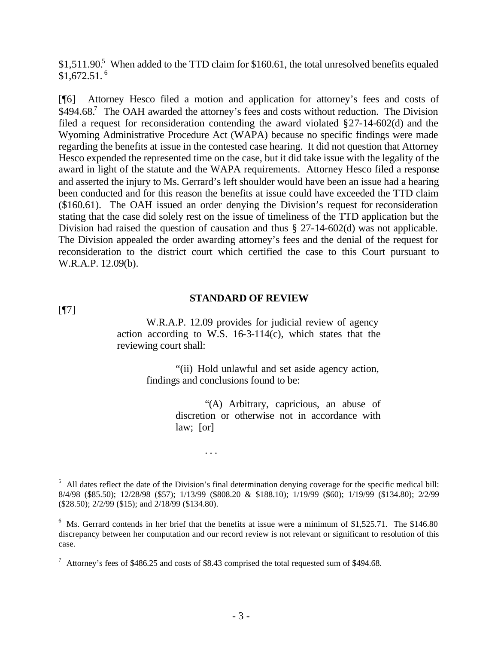$$1,511.90$ <sup>5</sup> When added to the TTD claim for  $$160.61$ , the total unresolved benefits equaled  $$1,672.51.^6$ 

[¶6] Attorney Hesco filed a motion and application for attorney's fees and costs of  $$494.68$ .<sup>7</sup> The OAH awarded the attorney's fees and costs without reduction. The Division filed a request for reconsideration contending the award violated §27-14-602(d) and the Wyoming Administrative Procedure Act (WAPA) because no specific findings were made regarding the benefits at issue in the contested case hearing. It did not question that Attorney Hesco expended the represented time on the case, but it did take issue with the legality of the award in light of the statute and the WAPA requirements. Attorney Hesco filed a response and asserted the injury to Ms. Gerrard's left shoulder would have been an issue had a hearing been conducted and for this reason the benefits at issue could have exceeded the TTD claim (\$160.61). The OAH issued an order denying the Division's request for reconsideration stating that the case did solely rest on the issue of timeliness of the TTD application but the Division had raised the question of causation and thus § 27-14-602(d) was not applicable. The Division appealed the order awarding attorney's fees and the denial of the request for reconsideration to the district court which certified the case to this Court pursuant to W.R.A.P. 12.09(b).

### **STANDARD OF REVIEW**

[¶7]

l

W.R.A.P. 12.09 provides for judicial review of agency action according to W.S.  $16-3-114(c)$ , which states that the reviewing court shall:

> "(ii) Hold unlawful and set aside agency action, findings and conclusions found to be:

> > "(A) Arbitrary, capricious, an abuse of discretion or otherwise not in accordance with law; [or]

. . .

 $<sup>5</sup>$  All dates reflect the date of the Division's final determination denying coverage for the specific medical bill:</sup> 8/4/98 (\$85.50); 12/28/98 (\$57); 1/13/99 (\$808.20 & \$188.10); 1/19/99 (\$60); 1/19/99 (\$134.80); 2/2/99 (\$28.50); 2/2/99 (\$15); and 2/18/99 (\$134.80).

 $6$  Ms. Gerrard contends in her brief that the benefits at issue were a minimum of \$1,525.71. The \$146.80 discrepancy between her computation and our record review is not relevant or significant to resolution of this case.

 $^7$  Attorney's fees of \$486.25 and costs of \$8.43 comprised the total requested sum of \$494.68.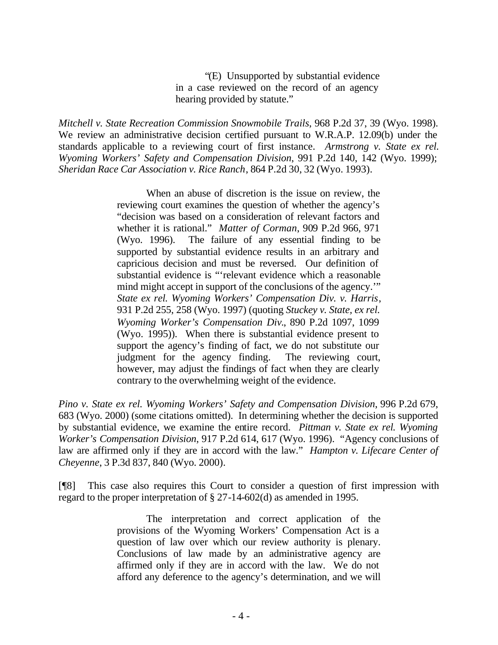"(E) Unsupported by substantial evidence in a case reviewed on the record of an agency hearing provided by statute."

*Mitchell v. State Recreation Commission Snowmobile Trails*, 968 P.2d 37, 39 (Wyo. 1998). We review an administrative decision certified pursuant to W.R.A.P. 12.09(b) under the standards applicable to a reviewing court of first instance. *Armstrong v. State ex rel. Wyoming Workers' Safety and Compensation Division*, 991 P.2d 140, 142 (Wyo. 1999); *Sheridan Race Car Association v. Rice Ranch*, 864 P.2d 30, 32 (Wyo. 1993).

> When an abuse of discretion is the issue on review, the reviewing court examines the question of whether the agency's "decision was based on a consideration of relevant factors and whether it is rational." *Matter of Corman*, 909 P.2d 966, 971 (Wyo. 1996). The failure of any essential finding to be supported by substantial evidence results in an arbitrary and capricious decision and must be reversed. Our definition of substantial evidence is "'relevant evidence which a reasonable mind might accept in support of the conclusions of the agency.'" *State ex rel. Wyoming Workers' Compensation Div. v. Harris*, 931 P.2d 255, 258 (Wyo. 1997) (quoting *Stuckey v. State, ex rel. Wyoming Worker's Compensation Div.*, 890 P.2d 1097, 1099 (Wyo. 1995)). When there is substantial evidence present to support the agency's finding of fact, we do not substitute our judgment for the agency finding. The reviewing court, however, may adjust the findings of fact when they are clearly contrary to the overwhelming weight of the evidence.

*Pino v. State ex rel. Wyoming Workers' Safety and Compensation Division*, 996 P.2d 679, 683 (Wyo. 2000) (some citations omitted). In determining whether the decision is supported by substantial evidence, we examine the entire record. *Pittman v. State ex rel. Wyoming Worker's Compensation Division*, 917 P.2d 614, 617 (Wyo. 1996). "Agency conclusions of law are affirmed only if they are in accord with the law." *Hampton v. Lifecare Center of Cheyenne*, 3 P.3d 837, 840 (Wyo. 2000).

[¶8] This case also requires this Court to consider a question of first impression with regard to the proper interpretation of § 27-14-602(d) as amended in 1995.

> The interpretation and correct application of the provisions of the Wyoming Workers' Compensation Act is a question of law over which our review authority is plenary. Conclusions of law made by an administrative agency are affirmed only if they are in accord with the law. We do not afford any deference to the agency's determination, and we will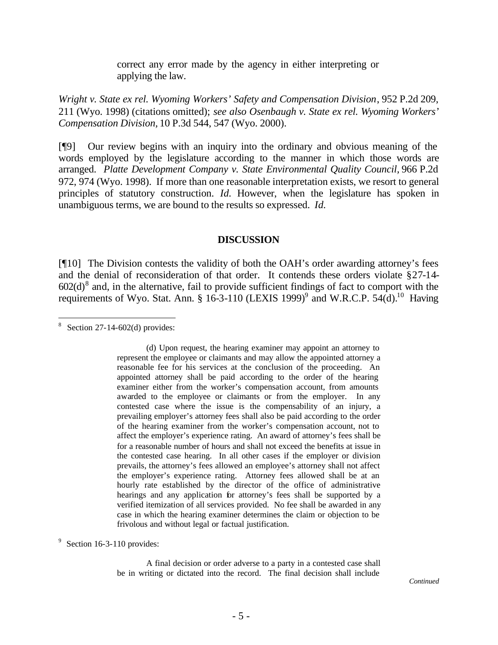correct any error made by the agency in either interpreting or applying the law.

*Wright v. State ex rel. Wyoming Workers' Safety and Compensation Division*, 952 P.2d 209, 211 (Wyo. 1998) (citations omitted); *see also Osenbaugh v. State ex rel. Wyoming Workers' Compensation Division,* 10 P.3d 544, 547 (Wyo. 2000).

[¶9] Our review begins with an inquiry into the ordinary and obvious meaning of the words employed by the legislature according to the manner in which those words are arranged. *Platte Development Company v. State Environmental Quality Council,* 966 P.2d 972, 974 (Wyo. 1998). If more than one reasonable interpretation exists, we resort to general principles of statutory construction. *Id.* However, when the legislature has spoken in unambiguous terms, we are bound to the results so expressed. *Id.*

#### **DISCUSSION**

[¶10] The Division contests the validity of both the OAH's order awarding attorney's fees and the denial of reconsideration of that order. It contends these orders violate §27-14-  $602(d)$ <sup>8</sup> and, in the alternative, fail to provide sufficient findings of fact to comport with the requirements of Wyo. Stat. Ann. § 16-3-110 (LEXIS 1999)<sup>9</sup> and W.R.C.P. 54(d).<sup>10</sup> Having

l

A final decision or order adverse to a party in a contested case shall be in writing or dictated into the record. The final decision shall include

<sup>&</sup>lt;sup>8</sup> Section 27-14-602(d) provides:

<sup>(</sup>d) Upon request, the hearing examiner may appoint an attorney to represent the employee or claimants and may allow the appointed attorney a reasonable fee for his services at the conclusion of the proceeding. An appointed attorney shall be paid according to the order of the hearing examiner either from the worker's compensation account, from amounts awarded to the employee or claimants or from the employer. In any contested case where the issue is the compensability of an injury, a prevailing employer's attorney fees shall also be paid according to the order of the hearing examiner from the worker's compensation account, not to affect the employer's experience rating. An award of attorney's fees shall be for a reasonable number of hours and shall not exceed the benefits at issue in the contested case hearing. In all other cases if the employer or division prevails, the attorney's fees allowed an employee's attorney shall not affect the employer's experience rating. Attorney fees allowed shall be at an hourly rate established by the director of the office of administrative hearings and any application for attorney's fees shall be supported by a verified itemization of all services provided. No fee shall be awarded in any case in which the hearing examiner determines the claim or objection to be frivolous and without legal or factual justification.

 $9$  Section 16-3-110 provides: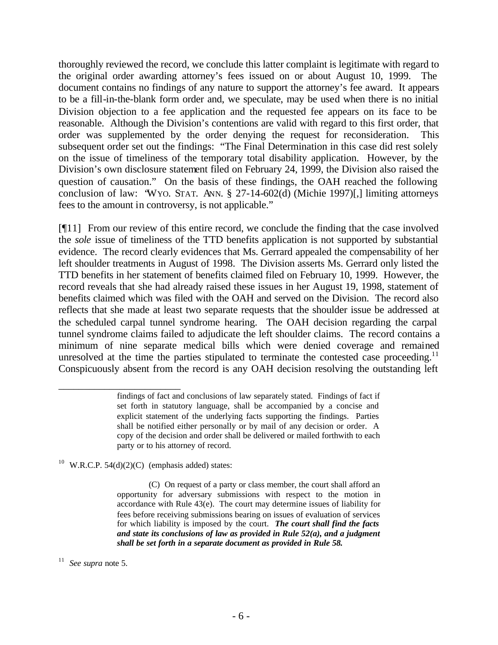thoroughly reviewed the record, we conclude this latter complaint is legitimate with regard to the original order awarding attorney's fees issued on or about August 10, 1999. The document contains no findings of any nature to support the attorney's fee award. It appears to be a fill-in-the-blank form order and, we speculate, may be used when there is no initial Division objection to a fee application and the requested fee appears on its face to be reasonable. Although the Division's contentions are valid with regard to this first order, that order was supplemented by the order denying the request for reconsideration. This subsequent order set out the findings: "The Final Determination in this case did rest solely on the issue of timeliness of the temporary total disability application. However, by the Division's own disclosure statement filed on February 24, 1999, the Division also raised the question of causation." On the basis of these findings, the OAH reached the following conclusion of law: "WYO. STAT. ANN. § 27-14-602(d) (Michie 1997)[,] limiting attorneys fees to the amount in controversy, is not applicable."

[¶11] From our review of this entire record, we conclude the finding that the case involved the *sole* issue of timeliness of the TTD benefits application is not supported by substantial evidence. The record clearly evidences that Ms. Gerrard appealed the compensability of her left shoulder treatments in August of 1998. The Division asserts Ms. Gerrard only listed the TTD benefits in her statement of benefits claimed filed on February 10, 1999. However, the record reveals that she had already raised these issues in her August 19, 1998, statement of benefits claimed which was filed with the OAH and served on the Division. The record also reflects that she made at least two separate requests that the shoulder issue be addressed at the scheduled carpal tunnel syndrome hearing. The OAH decision regarding the carpal tunnel syndrome claims failed to adjudicate the left shoulder claims. The record contains a minimum of nine separate medical bills which were denied coverage and remained unresolved at the time the parties stipulated to terminate the contested case proceeding.<sup>11</sup> Conspicuously absent from the record is any OAH decision resolving the outstanding left

<sup>10</sup> W.R.C.P. 54(d)(2)(C) (emphasis added) states:

\_\_\_\_\_\_\_\_\_\_\_\_\_\_\_\_\_\_\_\_\_\_\_\_

 (C) On request of a party or class member, the court shall afford an opportunity for adversary submissions with respect to the motion in accordance with Rule 43(e). The court may determine issues of liability for fees before receiving submissions bearing on issues of evaluation of services for which liability is imposed by the court. *The court shall find the facts and state its conclusions of law as provided in Rule 52(a), and a judgment shall be set forth in a separate document as provided in Rule 58.*

11 *See supra* note 5.

findings of fact and conclusions of law separately stated. Findings of fact if set forth in statutory language, shall be accompanied by a concise and explicit statement of the underlying facts supporting the findings. Parties shall be notified either personally or by mail of any decision or order. A copy of the decision and order shall be delivered or mailed forthwith to each party or to his attorney of record.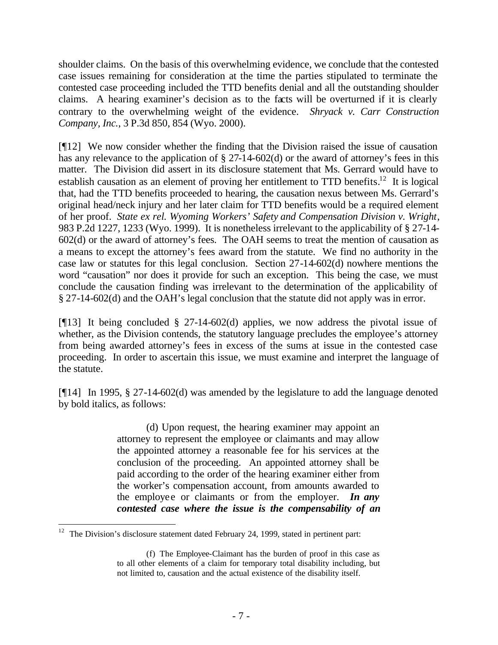shoulder claims. On the basis of this overwhelming evidence, we conclude that the contested case issues remaining for consideration at the time the parties stipulated to terminate the contested case proceeding included the TTD benefits denial and all the outstanding shoulder claims. A hearing examiner's decision as to the facts will be overturned if it is clearly contrary to the overwhelming weight of the evidence. *Shryack v. Carr Construction Company, Inc.*, 3 P.3d 850, 854 (Wyo. 2000).

[¶12] We now consider whether the finding that the Division raised the issue of causation has any relevance to the application of § 27-14-602(d) or the award of attorney's fees in this matter. The Division did assert in its disclosure statement that Ms. Gerrard would have to establish causation as an element of proving her entitlement to TTD benefits.<sup>12</sup> It is logical that, had the TTD benefits proceeded to hearing, the causation nexus between Ms. Gerrard's original head/neck injury and her later claim for TTD benefits would be a required element of her proof. *State ex rel. Wyoming Workers' Safety and Compensation Division v. Wright*, 983 P.2d 1227, 1233 (Wyo. 1999). It is nonetheless irrelevant to the applicability of § 27-14- 602(d) or the award of attorney's fees. The OAH seems to treat the mention of causation as a means to except the attorney's fees award from the statute. We find no authority in the case law or statutes for this legal conclusion. Section 27-14-602(d) nowhere mentions the word "causation" nor does it provide for such an exception. This being the case, we must conclude the causation finding was irrelevant to the determination of the applicability of § 27-14-602(d) and the OAH's legal conclusion that the statute did not apply was in error.

[¶13] It being concluded § 27-14-602(d) applies, we now address the pivotal issue of whether, as the Division contends, the statutory language precludes the employee's attorney from being awarded attorney's fees in excess of the sums at issue in the contested case proceeding. In order to ascertain this issue, we must examine and interpret the language of the statute.

[¶14] In 1995, § 27-14-602(d) was amended by the legislature to add the language denoted by bold italics, as follows:

> (d) Upon request, the hearing examiner may appoint an attorney to represent the employee or claimants and may allow the appointed attorney a reasonable fee for his services at the conclusion of the proceeding. An appointed attorney shall be paid according to the order of the hearing examiner either from the worker's compensation account, from amounts awarded to the employee or claimants or from the employer. *In any contested case where the issue is the compensability of an*

<sup>&</sup>lt;sup>12</sup> The Division's disclosure statement dated February 24, 1999, stated in pertinent part:

<sup>(</sup>f) The Employee-Claimant has the burden of proof in this case as to all other elements of a claim for temporary total disability including, but not limited to, causation and the actual existence of the disability itself.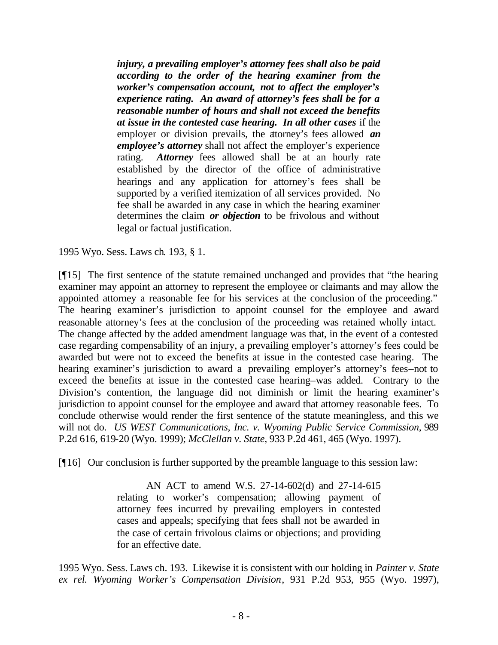*injury, a prevailing employer's attorney fees shall also be paid according to the order of the hearing examiner from the worker's compensation account, not to affect the employer's experience rating. An award of attorney's fees shall be for a reasonable number of hours and shall not exceed the benefits at issue in the contested case hearing. In all other cases* if the employer or division prevails, the attorney's fees allowed *an employee's attorney* shall not affect the employer's experience rating. *Attorney* fees allowed shall be at an hourly rate established by the director of the office of administrative hearings and any application for attorney's fees shall be supported by a verified itemization of all services provided. No fee shall be awarded in any case in which the hearing examiner determines the claim *or objection* to be frivolous and without legal or factual justification.

1995 Wyo. Sess. Laws ch. 193, § 1.

[¶15] The first sentence of the statute remained unchanged and provides that "the hearing examiner may appoint an attorney to represent the employee or claimants and may allow the appointed attorney a reasonable fee for his services at the conclusion of the proceeding." The hearing examiner's jurisdiction to appoint counsel for the employee and award reasonable attorney's fees at the conclusion of the proceeding was retained wholly intact. The change affected by the added amendment language was that, in the event of a contested case regarding compensability of an injury, a prevailing employer's attorney's fees could be awarded but were not to exceed the benefits at issue in the contested case hearing. The hearing examiner's jurisdiction to award a prevailing employer's attorney's fees–not to exceed the benefits at issue in the contested case hearing–was added. Contrary to the Division's contention, the language did not diminish or limit the hearing examiner's jurisdiction to appoint counsel for the employee and award that attorney reasonable fees. To conclude otherwise would render the first sentence of the statute meaningless, and this we will not do. *US WEST Communications, Inc. v. Wyoming Public Service Commission*, 989 P.2d 616, 619-20 (Wyo. 1999); *McClellan v. State*, 933 P.2d 461, 465 (Wyo. 1997).

[¶16] Our conclusion is further supported by the preamble language to this session law:

AN ACT to amend W.S. 27-14-602(d) and 27-14-615 relating to worker's compensation; allowing payment of attorney fees incurred by prevailing employers in contested cases and appeals; specifying that fees shall not be awarded in the case of certain frivolous claims or objections; and providing for an effective date.

1995 Wyo. Sess. Laws ch. 193. Likewise it is consistent with our holding in *Painter v. State ex rel. Wyoming Worker's Compensation Division*, 931 P.2d 953, 955 (Wyo. 1997),